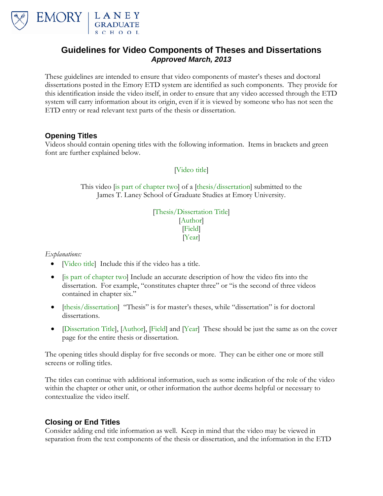

## **Guidelines for Video Components of Theses and Dissertations** *Approved March, 2013*

These guidelines are intended to ensure that video components of master's theses and doctoral dissertations posted in the Emory ETD system are identified as such components. They provide for this identification inside the video itself, in order to ensure that any video accessed through the ETD system will carry information about its origin, even if it is viewed by someone who has not seen the ETD entry or read relevant text parts of the thesis or dissertation.

## **Opening Titles**

Videos should contain opening titles with the following information. Items in brackets and green font are further explained below.

[Video title]

This video [is part of chapter two] of a [thesis/dissertation] submitted to the James T. Laney School of Graduate Studies at Emory University.

> [Thesis/Dissertation Title] [Author] [Field] [Year]

*Explanations:*

- [Video title] Include this if the video has a title.
- [is part of chapter two] Include an accurate description of how the video fits into the dissertation. For example, "constitutes chapter three" or "is the second of three videos contained in chapter six."
- [thesis/dissertation] "Thesis" is for master's theses, while "dissertation" is for doctoral dissertations.
- [Dissertation Title], [Author], [Field] and [Year] These should be just the same as on the cover page for the entire thesis or dissertation.

The opening titles should display for five seconds or more. They can be either one or more still screens or rolling titles.

The titles can continue with additional information, such as some indication of the role of the video within the chapter or other unit, or other information the author deems helpful or necessary to contextualize the video itself.

## **Closing or End Titles**

Consider adding end title information as well. Keep in mind that the video may be viewed in separation from the text components of the thesis or dissertation, and the information in the ETD